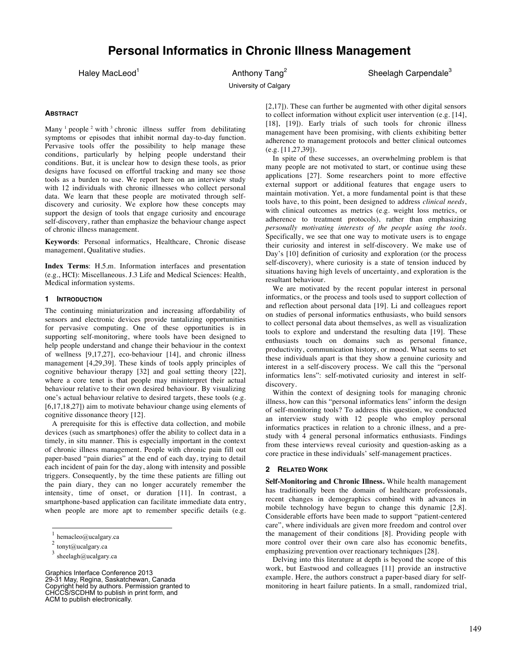# **Personal Informatics in Chronic Illness Management**

Haley MacLeod<sup>1</sup> Anthony Tang<sup>2</sup> Sheelagh Carpendale<sup>3</sup>

University of Calgary

#### **ABSTRACT**

Many  $\frac{1}{2}$  people  $\frac{2}{3}$  with  $\frac{3}{2}$  chronic illness suffer from debilitating symptoms or episodes that inhibit normal day-to-day function. Pervasive tools offer the possibility to help manage these conditions, particularly by helping people understand their conditions. But, it is unclear how to design these tools, as prior designs have focused on effortful tracking and many see those tools as a burden to use. We report here on an interview study with 12 individuals with chronic illnesses who collect personal data. We learn that these people are motivated through selfdiscovery and curiosity. We explore how these concepts may support the design of tools that engage curiosity and encourage self-discovery, rather than emphasize the behaviour change aspect of chronic illness management.

**Keywords**: Personal informatics, Healthcare, Chronic disease management, Qualitative studies.

**Index Terms**: H.5.m. Information interfaces and presentation (e.g., HCI): Miscellaneous. J.3 Life and Medical Sciences: Health, Medical information systems.

#### **1 INTRODUCTION**

The continuing miniaturization and increasing affordability of sensors and electronic devices provide tantalizing opportunities for pervasive computing. One of these opportunities is in supporting self-monitoring, where tools have been designed to help people understand and change their behaviour in the context of wellness [9,17,27], eco-behaviour [14], and chronic illness management [4,29,39]. These kinds of tools apply principles of cognitive behaviour therapy [32] and goal setting theory [22], where a core tenet is that people may misinterpret their actual behaviour relative to their own desired behaviour. By visualizing one's actual behaviour relative to desired targets, these tools (e.g. [6,17,18,27]) aim to motivate behaviour change using elements of cognitive dissonance theory [12].

A prerequisite for this is effective data collection, and mobile devices (such as smartphones) offer the ability to collect data in a timely, in situ manner. This is especially important in the context of chronic illness management. People with chronic pain fill out paper-based "pain diaries" at the end of each day, trying to detail each incident of pain for the day, along with intensity and possible triggers. Consequently, by the time these patients are filling out the pain diary, they can no longer accurately remember the intensity, time of onset, or duration [11]. In contrast, a smartphone-based application can facilitate immediate data entry, when people are more apt to remember specific details (e.g.

-

Graphics Interface Conference 2013 29-31 May, Regina, Saskatchewan, Canada Copyright held by authors. Permission granted to CHCCS/SCDHM to publish in print form, and ACM to publish electronically.

[2,17]). These can further be augmented with other digital sensors to collect information without explicit user intervention (e.g. [14], [18], [19]). Early trials of such tools for chronic illness management have been promising, with clients exhibiting better adherence to management protocols and better clinical outcomes  $(e.g. [11, 27, 39]).$ 

In spite of these successes, an overwhelming problem is that many people are not motivated to start, or continue using these applications [27]. Some researchers point to more effective external support or additional features that engage users to maintain motivation. Yet, a more fundamental point is that these tools have, to this point, been designed to address *clinical needs*, with clinical outcomes as metrics (e.g. weight loss metrics, or adherence to treatment protocols), rather than emphasizing *personally motivating interests of the people using the tools*. Specifically, we see that one way to motivate users is to engage their curiosity and interest in self-discovery. We make use of Day's [10] definition of curiosity and exploration (or the process self-discovery), where curiosity is a state of tension induced by situations having high levels of uncertainty, and exploration is the resultant behaviour.

We are motivated by the recent popular interest in personal informatics, or the process and tools used to support collection of and reflection about personal data [19]. Li and colleagues report on studies of personal informatics enthusiasts, who build sensors to collect personal data about themselves, as well as visualization tools to explore and understand the resulting data [19]. These enthusiasts touch on domains such as personal finance, productivity, communication history, or mood. What seems to set these individuals apart is that they show a genuine curiosity and interest in a self-discovery process. We call this the "personal informatics lens": self-motivated curiosity and interest in selfdiscovery.

Within the context of designing tools for managing chronic illness, how can this "personal informatics lens" inform the design of self-monitoring tools? To address this question, we conducted an interview study with 12 people who employ personal informatics practices in relation to a chronic illness, and a prestudy with 4 general personal informatics enthusiasts. Findings from these interviews reveal curiosity and question-asking as a core practice in these individuals' self-management practices.

#### **2 RELATED WORK**

**Self-Monitoring and Chronic Illness.** While health management has traditionally been the domain of healthcare professionals, recent changes in demographics combined with advances in mobile technology have begun to change this dynamic [2,8]. Considerable efforts have been made to support "patient-centered care", where individuals are given more freedom and control over the management of their conditions [8]. Providing people with more control over their own care also has economic benefits, emphasizing prevention over reactionary techniques [28].

Delving into this literature at depth is beyond the scope of this work, but Eastwood and colleagues [11] provide an instructive example. Here, the authors construct a paper-based diary for selfmonitoring in heart failure patients. In a small, randomized trial,

hemacleo@ucalgary.ca

 $2 \t{tonyt@ucalgary.ca}$ 

 $^3$ sheelagh@ucalgary.ca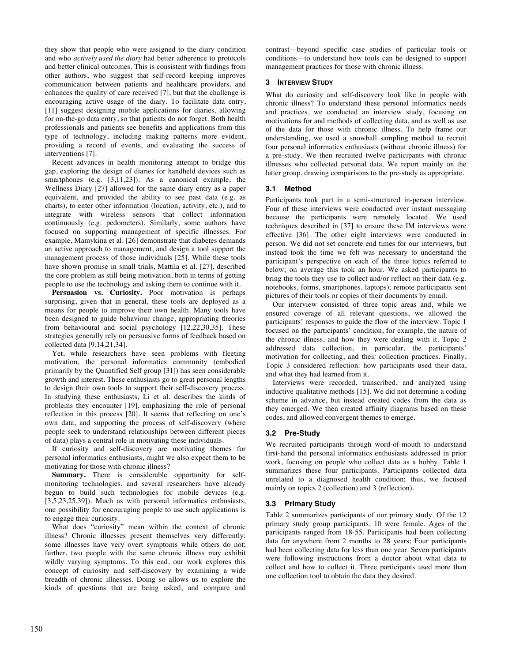they show that people who were assigned to the diary condition and who *actively used the diary* had better adherence to protocols and better clinical outcomes. This is consistent with findings from other authors, who suggest that self-record keeping improves communication between patients and healthcare providers, and enhances the quality of care received [7], but that the challenge is encouraging active usage of the diary. To facilitate data entry, [11] suggest designing mobile applications for diaries, allowing for on-the-go data entry, so that patients do not forget. Both health professionals and patients see benefits and applications from this type of technology, including making patterns more evident, providing a record of events, and evaluating the success of interventions [7].

Recent advances in health monitoring attempt to bridge this gap, exploring the design of diaries for handheld devices such as smartphones (e.g. [3,11,23]). As a canonical example, the Wellness Diary [27] allowed for the same diary entry as a paper equivalent, and provided the ability to see past data (e.g. as charts), to enter other information (location, activity, etc.), and to integrate with wireless sensors that collect information continuously (e.g. pedometers). Similarly, some authors have focused on supporting management of specific illnesses. For example, Mamykina et al. [26] demonstrate that diabetes demands an active approach to management, and design a tool support the management process of those individuals [25]. While these tools have shown promise in small trials, Mattila et al. [27], described the core problem as still being motivation, both in terms of getting people to use the technology and asking them to continue with it.

**Persuasion vs. Curiosity.** Poor motivation is perhaps surprising, given that in general, these tools are deployed as a means for people to improve their own health. Many tools have been designed to guide behaviour change, appropriating theories from behavioural and social psychology [12,22,30,35]. These strategies generally rely on persuasive forms of feedback based on collected data [9,14,21,34].

Yet, while researchers have seen problems with fleeting motivation, the personal informatics community (embodied primarily by the Quantified Self group [31]) has seen considerable growth and interest. These enthusiasts go to great personal lengths to design their own tools to support their self-discovery process. In studying these enthusiasts, Li et al. describes the kinds of problems they encounter [19], emphasizing the role of personal reflection in this process [20]. It seems that reflecting on one's own data, and supporting the process of self-discovery (where people seek to understand relationships between different pieces of data) plays a central role in motivating these individuals.

If curiosity and self-discovery are motivating themes for personal informatics enthusiasts, might we also expect them to be motivating for those with chronic illness?

**Summary.** There is considerable opportunity for selfmonitoring technologies, and several researchers have already begun to build such technologies for mobile devices (e.g. [3,5,23,25,39]). Much as with personal informatics enthusiasts, one possibility for encouraging people to use such applications is to engage their curiosity.

What does "curiosity" mean within the context of chronic illness? Chronic illnesses present themselves very differently: some illnesses have very overt symptoms while others do not; further, two people with the same chronic illness may exhibit wildly varying symptoms. To this end, our work explores this concept of curiosity and self-discovery by examining a wide breadth of chronic illnesses. Doing so allows us to explore the kinds of questions that are being asked, and compare and contrast—beyond specific case studies of particular tools or conditions—to understand how tools can be designed to support management practices for those with chronic illness.

# **3 INTERVIEW STUDY**

What do curiosity and self-discovery look like in people with chronic illness? To understand these personal informatics needs and practices, we conducted an interview study, focusing on motivations for and methods of collecting data, and as well as use of the data for those with chronic illness. To help frame our understanding, we used a snowball sampling method to recruit four personal informatics enthusiasts (without chronic illness) for a pre-study. We then recruited twelve participants with chronic illnesses who collected personal data. We report mainly on the latter group, drawing comparisons to the pre-study as appropriate.

# **3.1 Method**

Participants took part in a semi-structured in-person interview. Four of these interviews were conducted over instant messaging because the participants were remotely located. We used techniques described in [37] to ensure these IM interviews were effective [36]. The other eight interviews were conducted in person. We did not set concrete end times for our interviews, but instead took the time we felt was necessary to understand the participant's perspective on each of the three topics referred to below; on average this took an hour. We asked participants to bring the tools they use to collect and/or reflect on their data (e.g. notebooks, forms, smartphones, laptops); remote participants sent pictures of their tools or copies of their documents by email.

Our interview consisted of three topic areas and, while we ensured coverage of all relevant questions, we allowed the participants' responses to guide the flow of the interview. Topic 1 focused on the participants' condition, for example, the nature of the chronic illness, and how they were dealing with it. Topic 2 addressed data collection, in particular, the participants' motivation for collecting, and their collection practices. Finally, Topic 3 considered reflection: how participants used their data, and what they had learned from it.

Interviews were recorded, transcribed, and analyzed using inductive qualitative methods [15]. We did not determine a coding scheme in advance, but instead created codes from the data as they emerged. We then created affinity diagrams based on these codes, and allowed convergent themes to emerge.

# **3.2 Pre-Study**

We recruited participants through word-of-mouth to understand first-hand the personal informatics enthusiasts addressed in prior work, focusing on people who collect data as a hobby. Table 1 summarizes these four participants. Participants collected data unrelated to a diagnosed health condition; thus, we focused mainly on topics 2 (collection) and 3 (reflection).

# **3.3 Primary Study**

Table 2 summarizes participants of our primary study. Of the 12 primary study group participants, 10 were female. Ages of the participants ranged from 18-55. Participants had been collecting data for anywhere from 2 months to 28 years; Four participants had been collecting data for less than one year. Seven participants were following instructions from a doctor about what data to collect and how to collect it. Three participants used more than one collection tool to obtain the data they desired.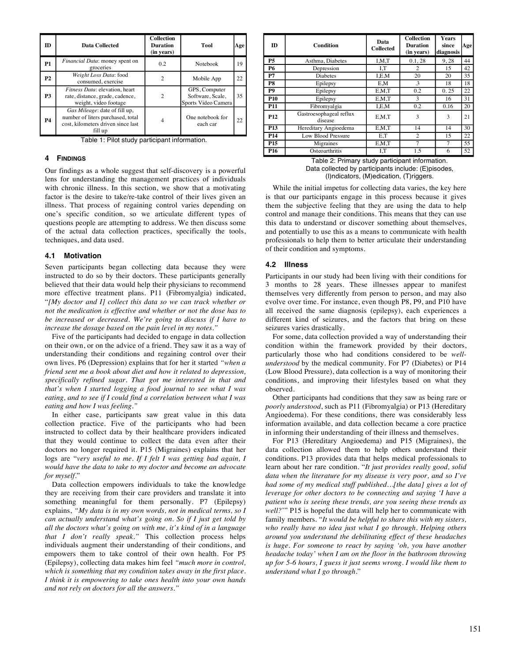| ID        | <b>Data Collected</b>                                                                                               | <b>Collection</b><br><b>Duration</b><br>(in years) | Tool                                                     | Age |
|-----------|---------------------------------------------------------------------------------------------------------------------|----------------------------------------------------|----------------------------------------------------------|-----|
| <b>P1</b> | Financial Data: money spent on<br>groceries                                                                         | 0.2                                                | <b>Notebook</b>                                          | 19  |
| <b>P2</b> | Weight Loss Data: food<br>consumed, exercise                                                                        | $\mathfrak{D}$                                     | Mobile App                                               | 22  |
| <b>P3</b> | Fitness Data: elevation, heart<br>rate, distance, grade, cadence,<br>weight, video footage                          |                                                    | GPS, Computer<br>Software, Scale,<br>Sports Video Camera | 35  |
| <b>P4</b> | Gas Mileage: date of fill up,<br>number of liters purchased, total<br>cost, kilometers driven since last<br>fill up |                                                    | One notebook for<br>each car                             | 22. |

Table 1: Pilot study participant information.

#### **4 FINDINGS**

Our findings as a whole suggest that self-discovery is a powerful lens for understanding the management practices of individuals with chronic illness. In this section, we show that a motivating factor is the desire to take/re-take control of their lives given an illness. That process of regaining control varies depending on one's specific condition, so we articulate different types of questions people are attempting to address. We then discuss some of the actual data collection practices, specifically the tools, techniques, and data used.

#### **4.1 Motivation**

Seven participants began collecting data because they were instructed to do so by their doctors. These participants generally believed that their data would help their physicians to recommend more effective treatment plans. P11 (Fibromyalgia) indicated, "*[My doctor and I] collect this data so we can track whether or not the medication is effective and whether or not the dose has to be increased or decreased*. *We're going to discuss if I have to increase the dosage based on the pain level in my notes."*

Five of the participants had decided to engage in data collection on their own, or on the advice of a friend. They saw it as a way of understanding their conditions and regaining control over their own lives. P6 (Depression) explains that for her it started *"when a friend sent me a book about diet and how it related to depression, specifically refined sugar. That got me interested in that and that's when I started logging a food journal to see what I was eating, and to see if I could find a correlation between what I was eating and how I was feeling."*

In either case, participants saw great value in this data collection practice. Five of the participants who had been instructed to collect data by their healthcare providers indicated that they would continue to collect the data even after their doctors no longer required it. P15 (Migraines) explains that her logs are "very useful to me. If I felt I was getting bad again, I *would have the data to take to my doctor and become an advocate for myself.*"

Data collection empowers individuals to take the knowledge they are receiving from their care providers and translate it into something meaningful for them personally. P7 (Epilepsy) explains, *"My data is in my own words, not in medical terms, so I can actually understand what's going on. So if I just get told by all the doctors what's going on with me, it's kind of in a language that I don't really speak."* This collection process helps individuals augment their understanding of their conditions, and empowers them to take control of their own health. For P5 (Epilepsy), collecting data makes him feel *"much more in control, which is something that my condition takes away in the first place. I think it is empowering to take ones health into your own hands and not rely on doctors for all the answers."*

| <b>ID</b>       | Condition                          | Data<br><b>Collected</b> | <b>Collection</b><br><b>Duration</b><br>(in years) | Years<br>since<br>diagnosis | Age |
|-----------------|------------------------------------|--------------------------|----------------------------------------------------|-----------------------------|-----|
| <b>P5</b>       | Asthma, Diabetes                   | I.M.T                    | 0.1, 28                                            | 9,28                        | 44  |
| <b>P6</b>       | Depression                         | I,T                      | 2                                                  | 15                          | 42  |
| P7              | <b>Diabetes</b>                    | I.E.M                    | 20                                                 | 20                          | 35  |
| P8              | Epilepsy                           | E,M                      | .3                                                 | 18                          | 18  |
| <b>P9</b>       | Epilepsy                           | E.M.T                    | 0.2                                                | 0.25                        | 22  |
| P <sub>10</sub> | Epilepsy                           | E.M.T                    | 3                                                  | 16                          | 31  |
| <b>P11</b>      | Fibromyalgia                       | I.E.M                    | 0.2                                                | 0.16                        | 20  |
| P <sub>12</sub> | Gastroesophageal reflux<br>disease | E.M.T                    | 3                                                  | 3                           | 21  |
| P <sub>13</sub> | Hereditary Angioedema              | E.M.T                    | 14                                                 | 14                          | 30  |
| P <sub>14</sub> | Low Blood Pressure                 | E,T                      | $\overline{c}$                                     | 15                          | 22  |
| P <sub>15</sub> | Migraines                          | E.M.T                    | 7                                                  | 7                           | 55  |
| P <sub>16</sub> | Osteoarthritis                     | I,T                      | 1.5                                                | 6                           | 52  |

Table 2: Primary study participant information. Data collected by participants include: (E)pisodes, (I)ndicators, (M)edication, (T)riggers.

While the initial impetus for collecting data varies, the key here is that our participants engage in this process because it gives them the subjective feeling that they are using the data to help control and manage their conditions. This means that they can use this data to understand or discover something about themselves, and potentially to use this as a means to communicate with health professionals to help them to better articulate their understanding of their condition and symptoms.

#### **4.2 Illness**

Participants in our study had been living with their conditions for 3 months to 28 years. These illnesses appear to manifest themselves very differently from person to person, and may also evolve over time. For instance, even though P8, P9, and P10 have all received the same diagnosis (epilepsy), each experiences a different kind of seizures, and the factors that bring on these seizures varies drastically.

For some, data collection provided a way of understanding their condition within the framework provided by their doctors, particularly those who had conditions considered to be *wellunderstood* by the medical community. For P7 (Diabetes) or P14 (Low Blood Pressure), data collection is a way of monitoring their conditions, and improving their lifestyles based on what they observed.

Other participants had conditions that they saw as being rare or *poorly understood*, such as P11 (Fibromyalgia) or P13 (Hereditary Angioedema). For these conditions, there was considerably less information available, and data collection became a core practice in informing their understanding of their illness and themselves.

For P13 (Hereditary Angioedema) and P15 (Migraines), the data collection allowed them to help others understand their conditions. P13 provides data that helps medical professionals to learn about her rare condition. "*It just provides really good, solid data when the literature for my disease is very poor, and so I've had some of my medical stuff published…[the data] gives a lot of leverage for other doctors to be connecting and saying 'I have a patient who is seeing these trends, are you seeing these trends as well?*'" P15 is hopeful the data will help her to communicate with family members. "*It would be helpful to share this with my sisters, who really have no idea just what I go through. Helping others around you understand the debilitating effect of these headaches is huge. For someone to react by saying 'oh, you have another headache today' when I am on the floor in the bathroom throwing up for 5-6 hours, I guess it just seems wrong. I would like them to understand what I go through.*"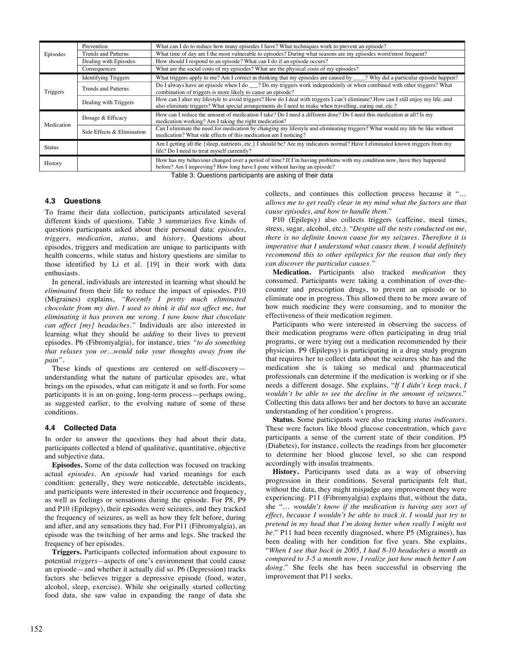|            | Prevention                  | What can I do to reduce how many episodes I have? What techniques work to prevent an episode?                                                                                                                                                |  |
|------------|-----------------------------|----------------------------------------------------------------------------------------------------------------------------------------------------------------------------------------------------------------------------------------------|--|
| Episodes   | Trends and Patterns         | What time of day am I the most vulnerable to episodes? During what seasons are my episodes worst/most frequent?                                                                                                                              |  |
|            | Dealing with Episodes       | How should I respond to an episode? What can I do if an episode occurs?                                                                                                                                                                      |  |
|            | Consequences                | What are the social costs of my episodes? What are the physical costs of my episodes?                                                                                                                                                        |  |
|            | <b>Identifying Triggers</b> | What triggers apply to me? Am I correct in thinking that my episodes are caused by ___? Why did a particular episode happen?                                                                                                                 |  |
| Triggers   | <b>Trends and Patterns</b>  | Do I always have an episode when I do __? Do my triggers work independently or when combined with other triggers? What<br>combination of triggers is more likely to cause an episode?                                                        |  |
|            | Dealing with Triggers       | How can I alter my lifestyle to avoid triggers? How do I deal with triggers I can't eliminate? How can I still enjoy my life, and<br>also eliminate triggers? What special arrangements do I need to make when travelling, eating out, etc.? |  |
| Medication | Dosage & Efficacy           | How can I reduce the amount of medication I take? Do I need a different dose? Do I need this medication at all? Is my<br>medication working? Am I taking the right medication?                                                               |  |
|            | Side Effects & Elimination  | Can I eliminate the need for medication by changing my lifestyle and eliminating triggers? What would my life be like without<br>medication? What side effects of this medication am I noticing?                                             |  |
| Status     |                             | Am I getting all the {sleep, nutrients, etc.} I should be? Are my indicators normal? Have I eliminated known triggers from my<br>life? Do I need to treat myself currently?                                                                  |  |
| History    |                             | How has my behaviour changed over a period of time? If I'm having problems with my condition now, have they happened<br>before? Am I improving? How long have I gone without having an episode?                                              |  |

Table 3: Questions participants are asking of their data

#### **4.3 Questions**

To frame their data collection, participants articulated several different kinds of questions. Table 3 summarizes five kinds of questions participants asked about their personal data: *episodes*, *triggers, medication*, *status*, and *history*. Questions about episodes, triggers and medication are unique to participants with health concerns, while status and history questions are similar to those identified by Li et al. [19] in their work with data enthusiasts.

In general, individuals are interested in learning what should be *eliminated* from their life to reduce the impact of episodes. P10 (Migraines) explains, *"Recently I pretty much eliminated chocolate from my diet. I used to think it did not affect me, but eliminating it has proven me wrong. I now know that chocolate can affect [my] headaches."* Individuals are also interested in learning what they should be *adding* to their lives to prevent episodes. P6 (Fibromyalgia), for instance, tries *"to do something that relaxes you or…would take your thoughts away from the pain"*.

These kinds of questions are centered on self-discovery understanding what the nature of particular episodes are, what brings on the episodes, what can mitigate it and so forth. For some participants it is an on-going, long-term process—perhaps owing, as suggested earlier, to the evolving nature of some of these conditions.

#### **4.4 Collected Data**

In order to answer the questions they had about their data, participants collected a blend of qualitative, quantitative, objective and subjective data.

**Episodes.** Some of the data collection was focused on tracking actual *episodes.* An *episode* had varied meanings for each condition: generally, they were noticeable, detectable incidents, and participants were interested in their occurrence and frequency, as well as feelings or sensations during the episode. For P8, P9 and P10 (Epilepsy), their episodes were seizures, and they tracked the frequency of seizures, as well as how they felt before, during and after, and any sensations they had. For P11 (Fibromyalgia), an episode was the twitching of her arms and legs. She tracked the frequency of her episodes.

**Triggers.** Participants collected information about exposure to potential *triggers—*aspects of one's environment that could cause an episode—and whether it actually did so. P6 (Depression) tracks factors she believes trigger a depressive episode (food, water, alcohol, sleep, exercise). While she originally started collecting food data, she saw value in expanding the range of data she

collects, and continues this collection process because it "… *allows me to get really clear in my mind what the factors are that cause episodes, and how to handle them.*"

P10 (Epilepsy) also collects triggers (caffeine, meal times, stress, sugar, alcohol, etc.). "*Despite all the tests conducted on me, there is no definite known cause for my seizures. Therefore it is imperative that I understand what causes them. I would definitely recommend this to other epileptics for the reason that only they can discover the particular causes."*

**Medication.** Participants also tracked *medication* they consumed. Participants were taking a combination of over-thecounter and prescription drugs, to prevent an episode or to eliminate one in progress. This allowed them to be more aware of how much medicine they were consuming, and to monitor the effectiveness of their medication regimen.

Participants who were interested in observing the success of their medication programs were often participating in drug trial programs, or were trying out a medication recommended by their physician. P9 (Epilepsy) is participating in a drug study program that requires her to collect data about the seizures she has and the medication she is taking so medical and pharmaceutical professionals can determine if the medication is working or if she needs a different dosage. She explains, "*If I didn't keep track, I wouldn't be able to see the decline in the amount of seizures.*" Collecting this data allows her and her doctors to have an accurate understanding of her condition's progress.

**Status.** Some participants were also tracking *status indicators.*  These were factors like blood glucose concentration, which gave participants a sense of the current state of their condition. P5 (Diabetes), for instance, collects the readings from her glucometer to determine her blood glucose level, so she can respond accordingly with insulin treatments.

**History.** Participants used data as a way of observing progression in their conditions. Several participants felt that, without the data, they might misjudge any improvement they were experiencing. P11 (Fibromyalgia) explains that, without the data, she "… *wouldn't know if the medication is having any sort of effect, because I wouldn't be able to track it. I would just try to pretend in my head that I'm doing better when really I might not be.*" P11 had been recently diagnosed, where P5 (Migraines), has been dealing with her condition for five years. She explains, "*When I see that back in 2005, I had 8-10 headaches a month as compared to 3-5 a month now, I realize just how much better I am doing.*" She feels she has been successful in observing the improvement that P11 seeks.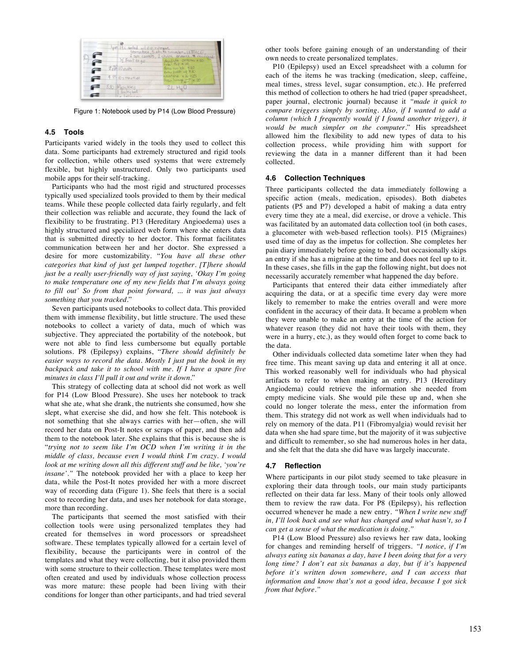

Figure 1: Notebook used by P14 (Low Blood Pressure)

## **4.5 Tools**

Participants varied widely in the tools they used to collect this data. Some participants had extremely structured and rigid tools for collection, while others used systems that were extremely flexible, but highly unstructured. Only two participants used mobile apps for their self-tracking.

Participants who had the most rigid and structured processes typically used specialized tools provided to them by their medical teams. While these people collected data fairly regularly, and felt their collection was reliable and accurate, they found the lack of flexibility to be frustrating. P13 (Hereditary Angioedema) uses a highly structured and specialized web form where she enters data that is submitted directly to her doctor. This format facilitates communication between her and her doctor. She expressed a desire for more customizability. "*You have all these other categories that kind of just get lumped together. [T]here should just be a really user-friendly way of just saying, 'Okay I'm going to make temperature one of my new fields that I'm always going to fill out' So from that point forward, ... it was just always something that you tracked.*"

Seven participants used notebooks to collect data. This provided them with immense flexibility, but little structure. The used these notebooks to collect a variety of data, much of which was subjective. They appreciated the portability of the notebook, but were not able to find less cumbersome but equally portable solutions. P8 (Epilepsy) explains, "*There should definitely be easier ways to record the data. Mostly I just put the book in my backpack and take it to school with me. If I have a spare five minutes in class I'll pull it out and write it down.*"

This strategy of collecting data at school did not work as well for P14 (Low Blood Pressure). She uses her notebook to track what she ate, what she drank, the nutrients she consumed, how she slept, what exercise she did, and how she felt. This notebook is not something that she always carries with her—often, she will record her data on Post-It notes or scraps of paper, and then add them to the notebook later. She explains that this is because she is "*trying not to seem like I'm OCD when I'm writing it in the middle of class, because even I would think I'm crazy. I would look at me writing down all this different stuff and be like, 'you're insane'."* The notebook provided her with a place to keep her data, while the Post-It notes provided her with a more discreet way of recording data (Figure 1). She feels that there is a social cost to recording her data, and uses her notebook for data storage, more than recording.

The participants that seemed the most satisfied with their collection tools were using personalized templates they had created for themselves in word processors or spreadsheet software. These templates typically allowed for a certain level of flexibility, because the participants were in control of the templates and what they were collecting, but it also provided them with some structure to their collection. These templates were most often created and used by individuals whose collection process was more mature: these people had been living with their conditions for longer than other participants, and had tried several

other tools before gaining enough of an understanding of their own needs to create personalized templates.

P10 (Epilepsy) used an Excel spreadsheet with a column for each of the items he was tracking (medication, sleep, caffeine, meal times, stress level, sugar consumption, etc.). He preferred this method of collection to others he had tried (paper spreadsheet, paper journal, electronic journal) because it *"made it quick to compare triggers simply by sorting. Also, if I wanted to add a column (which I frequently would if I found another trigger), it would be much simpler on the computer.*" His spreadsheet allowed him the flexibility to add new types of data to his collection process, while providing him with support for reviewing the data in a manner different than it had been collected.

#### **4.6 Collection Techniques**

Three participants collected the data immediately following a specific action (meals, medication, episodes). Both diabetes patients (P5 and P7) developed a habit of making a data entry every time they ate a meal, did exercise, or drove a vehicle. This was facilitated by an automated data collection tool (in both cases, a glucometer with web-based reflection tools). P15 (Migraines) used time of day as the impetus for collection. She completes her pain diary immediately before going to bed, but occasionally skips an entry if she has a migraine at the time and does not feel up to it. In these cases, she fills in the gap the following night, but does not necessarily accurately remember what happened the day before.

Participants that entered their data either immediately after acquiring the data, or at a specific time every day were more likely to remember to make the entries overall and were more confident in the accuracy of their data. It became a problem when they were unable to make an entry at the time of the action for whatever reason (they did not have their tools with them, they were in a hurry, etc.), as they would often forget to come back to the data.

Other individuals collected data sometime later when they had free time. This meant saving up data and entering it all at once. This worked reasonably well for individuals who had physical artifacts to refer to when making an entry. P13 (Hereditary Angiodema) could retrieve the information she needed from empty medicine vials. She would pile these up and, when she could no longer tolerate the mess, enter the information from them. This strategy did not work as well when individuals had to rely on memory of the data. P11 (Fibromyalgia) would revisit her data when she had spare time, but the majority of it was subjective and difficult to remember, so she had numerous holes in her data, and she felt that the data she did have was largely inaccurate.

#### **4.7 Reflection**

Where participants in our pilot study seemed to take pleasure in exploring their data through tools, our main study participants reflected on their data far less. Many of their tools only allowed them to review the raw data. For P8 (Epilepsy), his reflection occurred whenever he made a new entry. *"When I write new stuff in, I'll look back and see what has changed and what hasn't, so I can get a sense of what the medication is doing."*

P14 (Low Blood Pressure) also reviews her raw data, looking for changes and reminding herself of triggers. *"I notice, if I'm always eating six bananas a day, have I been doing that for a very long time? I don't eat six bananas a day, but if it's happened before it's written down somewhere, and I can access that information and know that's not a good idea, because I got sick from that before."*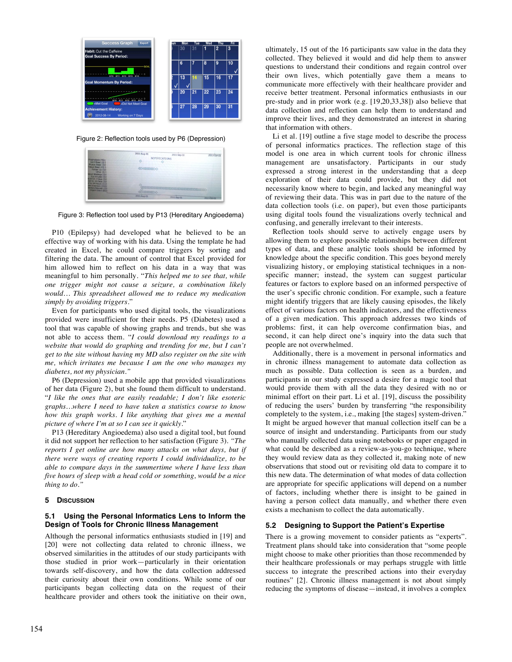

Figure 2: Reflection tools used by P6 (Depression)

|                                                                                                           | 2011-Aug-01          | 2011-Sep-01 | 2011-Oct-01 |
|-----------------------------------------------------------------------------------------------------------|----------------------|-------------|-------------|
| <b>TOphylaxis (46)-</b><br>Joint Bleed (0) 4<br><b>Nuncle Blend (0)-</b>                                  | <b>NOTIFICATIONS</b> |             |             |
| Haun Bleed (42)<br>Follow Up (0)                                                                          | <b>COCCCCCCCOO</b>   |             |             |
| Other (0)<br><b>Kluct Westage (0)</b><br>B.is Infused (0)<br>a tri In 7 Days (0)<br>first lin 30 Days (O) |                      |             |             |
| <b>F In 24 Hours (11)</b><br>aw Inventory (192)<br>endory Request (3)+<br>Lingers Event (BCH)             | <b>Octommoo</b>      |             |             |
|                                                                                                           | 2011-Aug-01          | 2011-9p-01  | 2011519-01  |

Figure 3: Reflection tool used by P13 (Hereditary Angioedema)

P10 (Epilepsy) had developed what he believed to be an effective way of working with his data. Using the template he had created in Excel, he could compare triggers by sorting and filtering the data. The amount of control that Excel provided for him allowed him to reflect on his data in a way that was meaningful to him personally. "*This helped me to see that, while one trigger might not cause a seizure, a combination likely would… This spreadsheet allowed me to reduce my medication simply by avoiding triggers.*"

Even for participants who used digital tools, the visualizations provided were insufficient for their needs. P5 (Diabetes) used a tool that was capable of showing graphs and trends, but she was not able to access them. "*I could download my readings to a website that would do graphing and trending for me, but I can't get to the site without having my MD also register on the site with me, which irritates me because I am the one who manages my diabetes, not my physician."*

P6 (Depression) used a mobile app that provided visualizations of her data (Figure 2), but she found them difficult to understand. "*I like the ones that are easily readable; I don't like esoteric graphs…where I need to have taken a statistics course to know how this graph works. I like anything that gives me a mental picture of where I'm at so I can see it quickly.*"

P13 (Hereditary Angioedema) also used a digital tool, but found it did not support her reflection to her satisfaction (Figure 3). *"The reports I get online are how many attacks on what days, but if there were ways of creating reports I could individualize, to be able to compare days in the summertime where I have less than five hours of sleep with a head cold or something, would be a nice thing to do."*

#### **5 DISCUSSION**

## **5.1 Using the Personal Informatics Lens to Inform the Design of Tools for Chronic Illness Management**

Although the personal informatics enthusiasts studied in [19] and [20] were not collecting data related to chronic illness, we observed similarities in the attitudes of our study participants with those studied in prior work—particularly in their orientation towards self-discovery, and how the data collection addressed their curiosity about their own conditions. While some of our participants began collecting data on the request of their healthcare provider and others took the initiative on their own, ultimately, 15 out of the 16 participants saw value in the data they collected. They believed it would and did help them to answer questions to understand their conditions and regain control over their own lives, which potentially gave them a means to communicate more effectively with their healthcare provider and receive better treatment. Personal informatics enthusiasts in our pre-study and in prior work (e.g. [19,20,33,38]) also believe that data collection and reflection can help them to understand and improve their lives, and they demonstrated an interest in sharing that information with others.

Li et al. [19] outline a five stage model to describe the process of personal informatics practices. The reflection stage of this model is one area in which current tools for chronic illness management are unsatisfactory. Participants in our study expressed a strong interest in the understanding that a deep exploration of their data could provide, but they did not necessarily know where to begin, and lacked any meaningful way of reviewing their data. This was in part due to the nature of the data collection tools (i.e. on paper), but even those participants using digital tools found the visualizations overly technical and confusing, and generally irrelevant to their interests.

Reflection tools should serve to actively engage users by allowing them to explore possible relationships between different types of data, and these analytic tools should be informed by knowledge about the specific condition. This goes beyond merely visualizing history, or employing statistical techniques in a nonspecific manner; instead, the system can suggest particular features or factors to explore based on an informed perspective of the user's specific chronic condition. For example, such a feature might identify triggers that are likely causing episodes, the likely effect of various factors on health indicators, and the effectiveness of a given medication. This approach addresses two kinds of problems: first, it can help overcome confirmation bias, and second, it can help direct one's inquiry into the data such that people are not overwhelmed.

Additionally, there is a movement in personal informatics and in chronic illness management to automate data collection as much as possible. Data collection is seen as a burden, and participants in our study expressed a desire for a magic tool that would provide them with all the data they desired with no or minimal effort on their part. Li et al. [19], discuss the possibility of reducing the users' burden by transferring "the responsibility completely to the system, i.e., making [the stages] system-driven." It might be argued however that manual collection itself can be a source of insight and understanding. Participants from our study who manually collected data using notebooks or paper engaged in what could be described as a review-as-you-go technique, where they would review data as they collected it, making note of new observations that stood out or revisiting old data to compare it to this new data. The determination of what modes of data collection are appropriate for specific applications will depend on a number of factors, including whether there is insight to be gained in having a person collect data manually, and whether there even exists a mechanism to collect the data automatically.

#### **5.2 Designing to Support the Patient's Expertise**

There is a growing movement to consider patients as "experts". Treatment plans should take into consideration that "some people might choose to make other priorities than those recommended by their healthcare professionals or may perhaps struggle with little success to integrate the prescribed actions into their everyday routines" [2]. Chronic illness management is not about simply reducing the symptoms of disease—instead, it involves a complex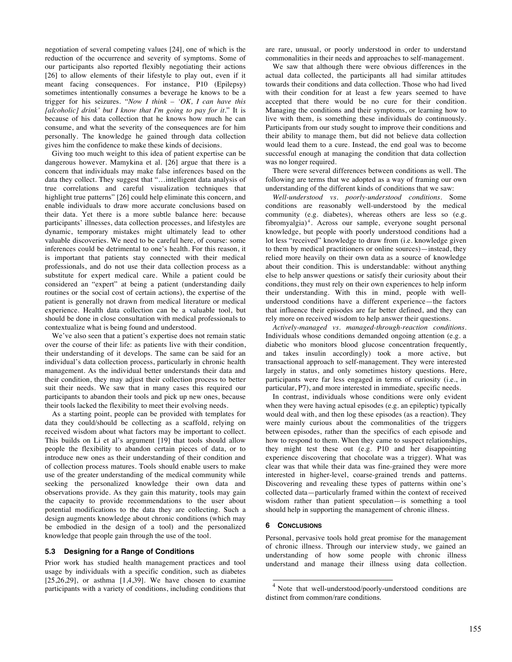negotiation of several competing values [24], one of which is the reduction of the occurrence and severity of symptoms. Some of our participants also reported flexibly negotiating their actions [26] to allow elements of their lifestyle to play out, even if it meant facing consequences. For instance, P10 (Epilepsy) sometimes intentionally consumes a beverage he knows to be a trigger for his seizures. "*Now I think – 'OK, I can have this [alcoholic] drink' but I know that I'm going to pay for it.*" It is because of his data collection that he knows how much he can consume, and what the severity of the consequences are for him personally. The knowledge he gained through data collection gives him the confidence to make these kinds of decisions.

Giving too much weight to this idea of patient expertise can be dangerous however. Mamykina et al. [26] argue that there is a concern that individuals may make false inferences based on the data they collect. They suggest that "…intelligent data analysis of true correlations and careful visualization techniques that highlight true patterns" [26] could help eliminate this concern, and enable individuals to draw more accurate conclusions based on their data. Yet there is a more subtle balance here: because participants' illnesses, data collection processes, and lifestyles are dynamic, temporary mistakes might ultimately lead to other valuable discoveries. We need to be careful here, of course: some inferences could be detrimental to one's health. For this reason, it is important that patients stay connected with their medical professionals, and do not use their data collection process as a substitute for expert medical care. While a patient could be considered an "expert" at being a patient (understanding daily routines or the social cost of certain actions), the expertise of the patient is generally not drawn from medical literature or medical experience. Health data collection can be a valuable tool, but should be done in close consultation with medical professionals to contextualize what is being found and understood.

We've also seen that a patient's expertise does not remain static over the course of their life: as patients live with their condition, their understanding of it develops. The same can be said for an individual's data collection process, particularly in chronic health management. As the individual better understands their data and their condition, they may adjust their collection process to better suit their needs. We saw that in many cases this required our participants to abandon their tools and pick up new ones, because their tools lacked the flexibility to meet their evolving needs.

As a starting point, people can be provided with templates for data they could/should be collecting as a scaffold, relying on received wisdom about what factors may be important to collect. This builds on Li et al's argument [19] that tools should allow people the flexibility to abandon certain pieces of data, or to introduce new ones as their understanding of their condition and of collection process matures. Tools should enable users to make use of the greater understanding of the medical community while seeking the personalized knowledge their own data and observations provide. As they gain this maturity, tools may gain the capacity to provide recommendations to the user about potential modifications to the data they are collecting. Such a design augments knowledge about chronic conditions (which may be embodied in the design of a tool) and the personalized knowledge that people gain through the use of the tool.

#### **5.3 Designing for a Range of Conditions**

Prior work has studied health management practices and tool usage by individuals with a specific condition, such as diabetes  $[25,26,29]$ , or asthma  $[1,4,39]$ . We have chosen to examine participants with a variety of conditions, including conditions that

are rare, unusual, or poorly understood in order to understand commonalities in their needs and approaches to self-management.

We saw that although there were obvious differences in the actual data collected, the participants all had similar attitudes towards their conditions and data collection. Those who had lived with their condition for at least a few years seemed to have accepted that there would be no cure for their condition. Managing the conditions and their symptoms, or learning how to live with them, is something these individuals do continuously. Participants from our study sought to improve their conditions and their ability to manage them, but did not believe data collection would lead them to a cure. Instead, the end goal was to become successful enough at managing the condition that data collection was no longer required.

There were several differences between conditions as well. The following are terms that we adopted as a way of framing our own understanding of the different kinds of conditions that we saw:

*Well-understood vs. poorly-understood conditions.* Some conditions are reasonably well-understood by the medical community (e.g. diabetes), whereas others are less so (e.g. fibromyalgia) <sup>4</sup> . Across our sample, everyone sought personal knowledge, but people with poorly understood conditions had a lot less "received" knowledge to draw from (i.e. knowledge given to them by medical practitioners or online sources)—instead, they relied more heavily on their own data as a source of knowledge about their condition. This is understandable: without anything else to help answer questions or satisfy their curiosity about their conditions, they must rely on their own experiences to help inform their understanding. With this in mind, people with wellunderstood conditions have a different experience—the factors that influence their episodes are far better defined, and they can rely more on received wisdom to help answer their questions.

*Actively-managed vs. managed-through-reaction conditions.* Individuals whose conditions demanded ongoing attention (e.g. a diabetic who monitors blood glucose concentration frequently, and takes insulin accordingly) took a more active, but transactional approach to self-management. They were interested largely in status, and only sometimes history questions. Here, participants were far less engaged in terms of curiosity (i.e., in particular, P7), and more interested in immediate, specific needs.

In contrast, individuals whose conditions were only evident when they were having actual episodes (e.g. an epileptic) typically would deal with, and then log these episodes (as a reaction). They were mainly curious about the commonalities of the triggers between episodes, rather than the specifics of each episode and how to respond to them. When they came to suspect relationships, they might test these out (e.g. P10 and her disappointing experience discovering that chocolate was a trigger). What was clear was that while their data was fine-grained they were more interested in higher-level, coarse-grained trends and patterns. Discovering and revealing these types of patterns within one's collected data—particularly framed within the context of received wisdom rather than patient speculation—is something a tool should help in supporting the management of chronic illness.

#### **6 CONCLUSIONS**

Personal, pervasive tools hold great promise for the management of chronic illness. Through our interview study, we gained an understanding of how some people with chronic illness understand and manage their illness using data collection.

<sup>&</sup>lt;sup>4</sup> Note that well-understood/poorly-understood conditions are distinct from common/rare conditions.